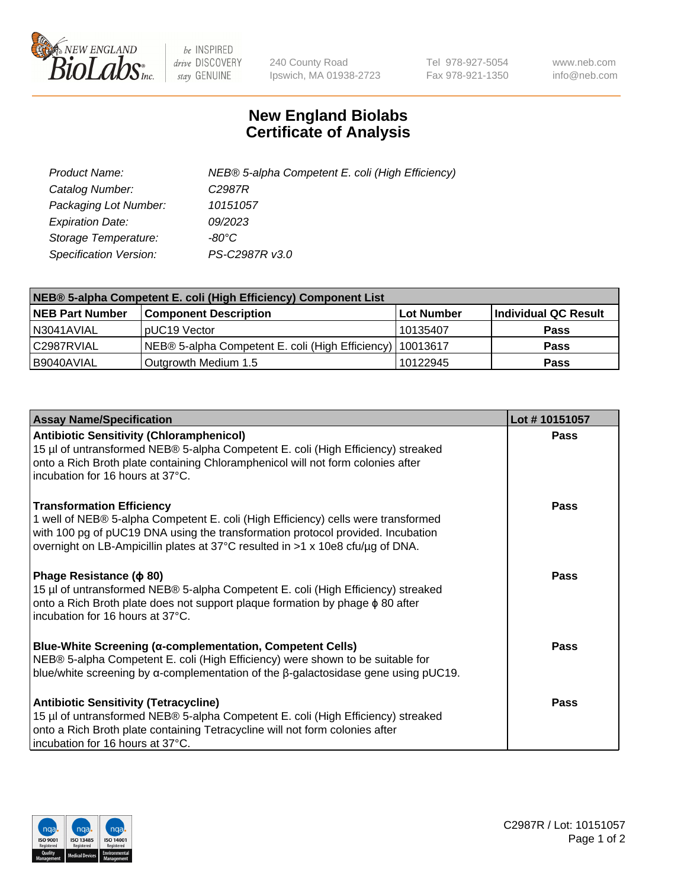

 $be$  INSPIRED drive DISCOVERY stay GENUINE

240 County Road Ipswich, MA 01938-2723 Tel 978-927-5054 Fax 978-921-1350 www.neb.com info@neb.com

## **New England Biolabs Certificate of Analysis**

| Product Name:                 | NEB® 5-alpha Competent E. coli (High Efficiency) |
|-------------------------------|--------------------------------------------------|
| Catalog Number:               | C <sub>2987</sub> R                              |
| Packaging Lot Number:         | 10151057                                         |
| <b>Expiration Date:</b>       | 09/2023                                          |
| Storage Temperature:          | -80°C                                            |
| <b>Specification Version:</b> | PS-C2987R v3.0                                   |

| NEB® 5-alpha Competent E. coli (High Efficiency) Component List |                                                             |            |                      |  |
|-----------------------------------------------------------------|-------------------------------------------------------------|------------|----------------------|--|
| <b>NEB Part Number</b>                                          | <b>Component Description</b>                                | Lot Number | Individual QC Result |  |
| N3041AVIAL                                                      | pUC19 Vector                                                | 10135407   | <b>Pass</b>          |  |
| C2987RVIAL                                                      | NEB® 5-alpha Competent E. coli (High Efficiency)   10013617 |            | <b>Pass</b>          |  |
| B9040AVIAL                                                      | Outgrowth Medium 1.5                                        | 10122945   | <b>Pass</b>          |  |

| <b>Assay Name/Specification</b>                                                                                                                                                                                                                                                            | Lot #10151057 |
|--------------------------------------------------------------------------------------------------------------------------------------------------------------------------------------------------------------------------------------------------------------------------------------------|---------------|
| <b>Antibiotic Sensitivity (Chloramphenicol)</b><br>15 µl of untransformed NEB® 5-alpha Competent E. coli (High Efficiency) streaked<br>onto a Rich Broth plate containing Chloramphenicol will not form colonies after<br>incubation for 16 hours at 37°C.                                 | <b>Pass</b>   |
| <b>Transformation Efficiency</b><br>1 well of NEB® 5-alpha Competent E. coli (High Efficiency) cells were transformed<br>with 100 pg of pUC19 DNA using the transformation protocol provided. Incubation<br>overnight on LB-Ampicillin plates at 37°C resulted in >1 x 10e8 cfu/µg of DNA. | <b>Pass</b>   |
| Phage Resistance ( $\phi$ 80)<br>15 µl of untransformed NEB® 5-alpha Competent E. coli (High Efficiency) streaked<br>onto a Rich Broth plate does not support plaque formation by phage $\phi$ 80 after<br>incubation for 16 hours at 37°C.                                                | <b>Pass</b>   |
| <b>Blue-White Screening (α-complementation, Competent Cells)</b><br>NEB® 5-alpha Competent E. coli (High Efficiency) were shown to be suitable for<br>blue/white screening by $\alpha$ -complementation of the $\beta$ -galactosidase gene using pUC19.                                    | Pass          |
| <b>Antibiotic Sensitivity (Tetracycline)</b><br>15 µl of untransformed NEB® 5-alpha Competent E. coli (High Efficiency) streaked<br>onto a Rich Broth plate containing Tetracycline will not form colonies after<br>incubation for 16 hours at 37°C.                                       | <b>Pass</b>   |